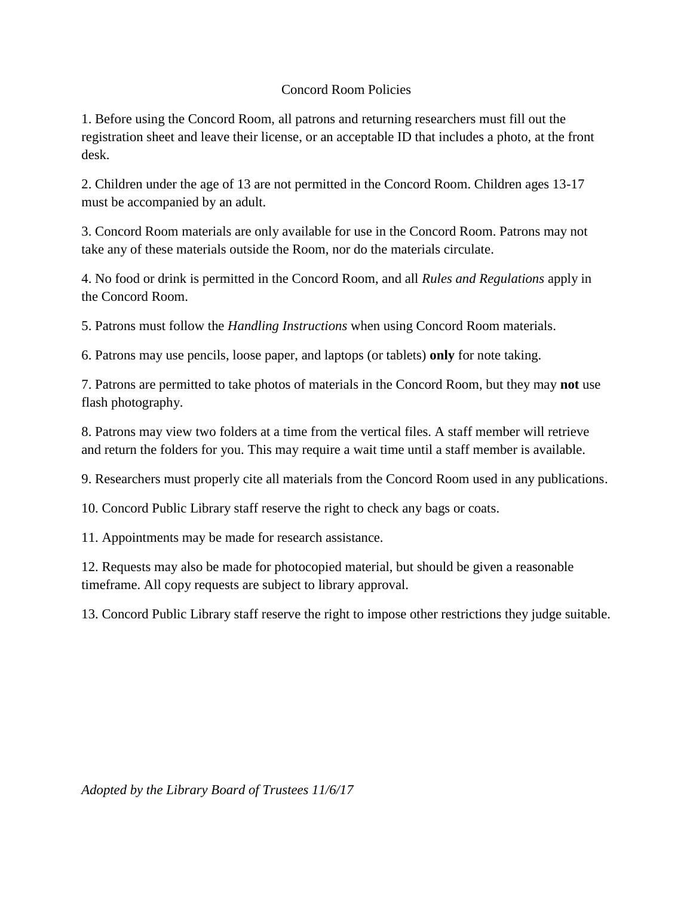## Concord Room Policies

1. Before using the Concord Room, all patrons and returning researchers must fill out the registration sheet and leave their license, or an acceptable ID that includes a photo, at the front desk.

2. Children under the age of 13 are not permitted in the Concord Room. Children ages 13-17 must be accompanied by an adult.

3. Concord Room materials are only available for use in the Concord Room. Patrons may not take any of these materials outside the Room, nor do the materials circulate.

4. No food or drink is permitted in the Concord Room, and all *Rules and Regulations* apply in the Concord Room.

5. Patrons must follow the *Handling Instructions* when using Concord Room materials.

6. Patrons may use pencils, loose paper, and laptops (or tablets) **only** for note taking.

7. Patrons are permitted to take photos of materials in the Concord Room, but they may **not** use flash photography.

8. Patrons may view two folders at a time from the vertical files. A staff member will retrieve and return the folders for you. This may require a wait time until a staff member is available.

9. Researchers must properly cite all materials from the Concord Room used in any publications.

10. Concord Public Library staff reserve the right to check any bags or coats.

11. Appointments may be made for research assistance.

12. Requests may also be made for photocopied material, but should be given a reasonable timeframe. All copy requests are subject to library approval.

13. Concord Public Library staff reserve the right to impose other restrictions they judge suitable.

*Adopted by the Library Board of Trustees 11/6/17*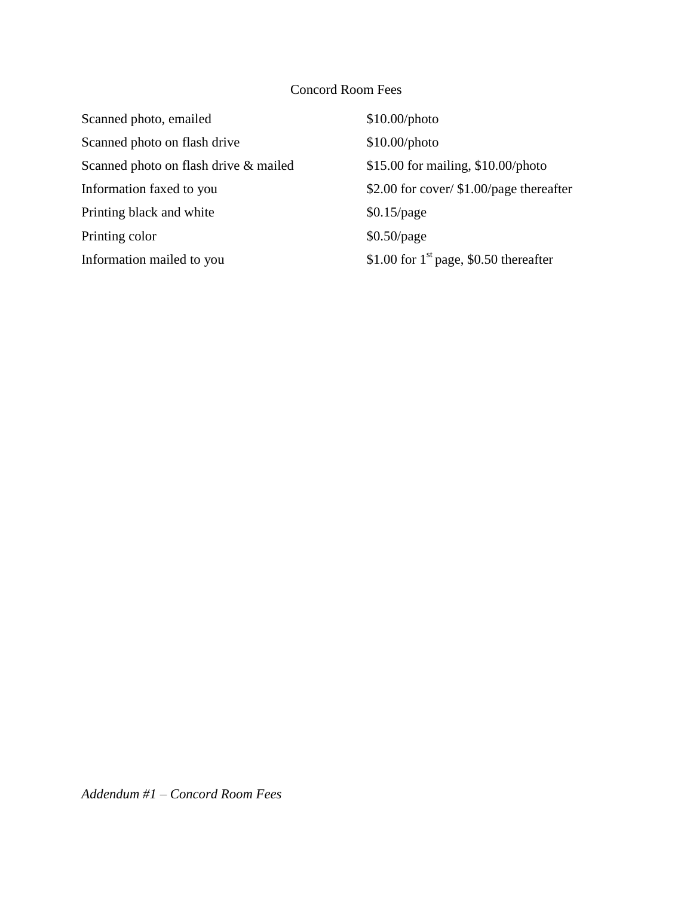## Concord Room Fees

| $$10.00\mathrm{photo}$                     |
|--------------------------------------------|
| $$10.00\mathrm{photo}$                     |
| $$15.00$ for mailing, $$10.00$ /photo      |
| \$2.00 for cover/ $$1.00$ /page thereafter |
| $$0.15$ /page                              |
| $$0.50$ /page                              |
| \$1.00 for $1st$ page, \$0.50 thereafter   |
|                                            |